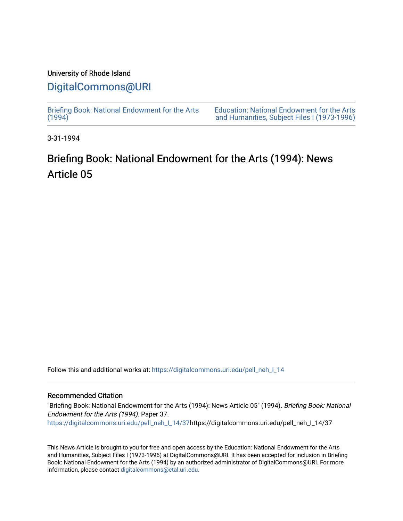### University of Rhode Island

## [DigitalCommons@URI](https://digitalcommons.uri.edu/)

[Briefing Book: National Endowment for the Arts](https://digitalcommons.uri.edu/pell_neh_I_14)  $(1994)$ 

[Education: National Endowment for the Arts](https://digitalcommons.uri.edu/pell_neh_I)  [and Humanities, Subject Files I \(1973-1996\)](https://digitalcommons.uri.edu/pell_neh_I) 

3-31-1994

# Briefing Book: National Endowment for the Arts (1994): News Article 05

Follow this and additional works at: [https://digitalcommons.uri.edu/pell\\_neh\\_I\\_14](https://digitalcommons.uri.edu/pell_neh_I_14?utm_source=digitalcommons.uri.edu%2Fpell_neh_I_14%2F37&utm_medium=PDF&utm_campaign=PDFCoverPages) 

### Recommended Citation

"Briefing Book: National Endowment for the Arts (1994): News Article 05" (1994). Briefing Book: National Endowment for the Arts (1994). Paper 37. [https://digitalcommons.uri.edu/pell\\_neh\\_I\\_14/37h](https://digitalcommons.uri.edu/pell_neh_I_14/37?utm_source=digitalcommons.uri.edu%2Fpell_neh_I_14%2F37&utm_medium=PDF&utm_campaign=PDFCoverPages)ttps://digitalcommons.uri.edu/pell\_neh\_I\_14/37

This News Article is brought to you for free and open access by the Education: National Endowment for the Arts and Humanities, Subject Files I (1973-1996) at DigitalCommons@URI. It has been accepted for inclusion in Briefing Book: National Endowment for the Arts (1994) by an authorized administrator of DigitalCommons@URI. For more information, please contact [digitalcommons@etal.uri.edu.](mailto:digitalcommons@etal.uri.edu)